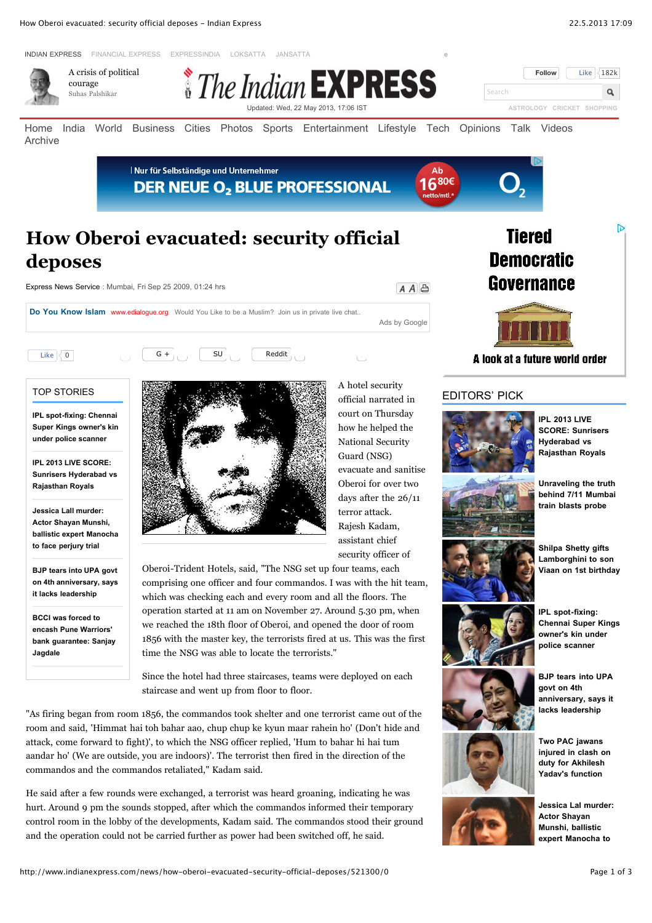

**BCCI was forced to encash Pune Warriors' [bank guarantee: Sanjay](http://www.indianexpress.com/news/bcci-was-forced-to-encash-pune-warriors-bank-guarantee-sanjay-jagdale/1119213/) Jagdale**

**it lacks leadership**



comprising one officer and four commandos. I was with the hit team, which was checking each and every room and all the floors. The operation started at 11 am on November 27. Around 5.30 pm, when we reached the 18th floor of Oberoi, and opened the door of room 1856 with the master key, the terrorists fired at us. This was the first time the NSG was able to locate the terrorists."

Since the hotel had three staircases, teams were deployed on each staircase and went up from floor to floor.

"As firing began from room 1856, the commandos took shelter and one terrorist came out of the room and said, 'Himmat hai toh bahar aao, chup chup ke kyun maar rahein ho' (Don't hide and attack, come forward to fight)', to which the NSG officer replied, 'Hum to bahar hi hai tum aandar ho' (We are outside, you are indoors)'. The terrorist then fired in the direction of the commandos and the commandos retaliated," Kadam said.

He said after a few rounds were exchanged, a terrorist was heard groaning, indicating he was hurt. Around 9 pm the sounds stopped, after which the commandos informed their temporary control room in the lobby of the developments, Kadam said. The commandos stood their ground and the operation could not be carried further as power had been switched off, he said.

**IPL spot-fixing: [Chennai Super Kings](http://www.indianexpress.com/news/ipl-spotfixing-chennai-super-kings-owners-kin-under-police-scanner/1119185/?rheditorpick) owner's kin under police scanner**



**BJP tears into UPA govt on 4th [anniversary, says it](http://www.indianexpress.com/news/bjp-tears-into-upa-govt-on-4th-anniversary-says-it-lacks-leadership/1119116/?rheditorpick) lacks leadership**



**[Jessica Lal murder:](http://www.indianexpress.com/news/jessica-lal-murder-actor-shayan-munshi-ballistic-expert-manocha-to-face-perjury-trial/1119095/?rheditorpick) Actor Shayan Munshi, ballistic expert Manocha to**